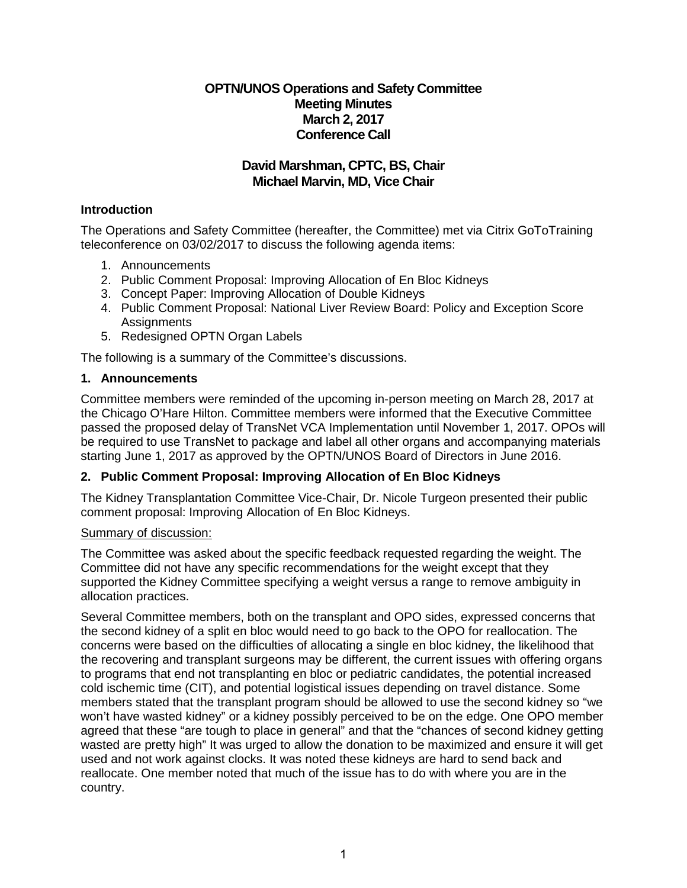# **OPTN/UNOS Operations and Safety Committee Meeting Minutes March 2, 2017 Conference Call**

# **David Marshman, CPTC, BS, Chair Michael Marvin, MD, Vice Chair**

# **Introduction**

The Operations and Safety Committee (hereafter, the Committee) met via Citrix GoToTraining teleconference on 03/02/2017 to discuss the following agenda items:

- 1. Announcements
- 2. Public Comment Proposal: Improving Allocation of En Bloc Kidneys
- 3. Concept Paper: Improving Allocation of Double Kidneys
- 4. Public Comment Proposal: National Liver Review Board: Policy and Exception Score **Assignments**
- 5. Redesigned OPTN Organ Labels

The following is a summary of the Committee's discussions.

### **1. Announcements**

Committee members were reminded of the upcoming in-person meeting on March 28, 2017 at the Chicago O'Hare Hilton. Committee members were informed that the Executive Committee passed the proposed delay of TransNet VCA Implementation until November 1, 2017. OPOs will be required to use TransNet to package and label all other organs and accompanying materials starting June 1, 2017 as approved by the OPTN/UNOS Board of Directors in June 2016.

### **2. Public Comment Proposal: Improving Allocation of En Bloc Kidneys**

The Kidney Transplantation Committee Vice-Chair, Dr. Nicole Turgeon presented their public comment proposal: Improving Allocation of En Bloc Kidneys.

# Summary of discussion:

The Committee was asked about the specific feedback requested regarding the weight. The Committee did not have any specific recommendations for the weight except that they supported the Kidney Committee specifying a weight versus a range to remove ambiguity in allocation practices.

Several Committee members, both on the transplant and OPO sides, expressed concerns that the second kidney of a split en bloc would need to go back to the OPO for reallocation. The concerns were based on the difficulties of allocating a single en bloc kidney, the likelihood that the recovering and transplant surgeons may be different, the current issues with offering organs to programs that end not transplanting en bloc or pediatric candidates, the potential increased cold ischemic time (CIT), and potential logistical issues depending on travel distance. Some members stated that the transplant program should be allowed to use the second kidney so "we won't have wasted kidney" or a kidney possibly perceived to be on the edge. One OPO member agreed that these "are tough to place in general" and that the "chances of second kidney getting wasted are pretty high" It was urged to allow the donation to be maximized and ensure it will get used and not work against clocks. It was noted these kidneys are hard to send back and reallocate. One member noted that much of the issue has to do with where you are in the country.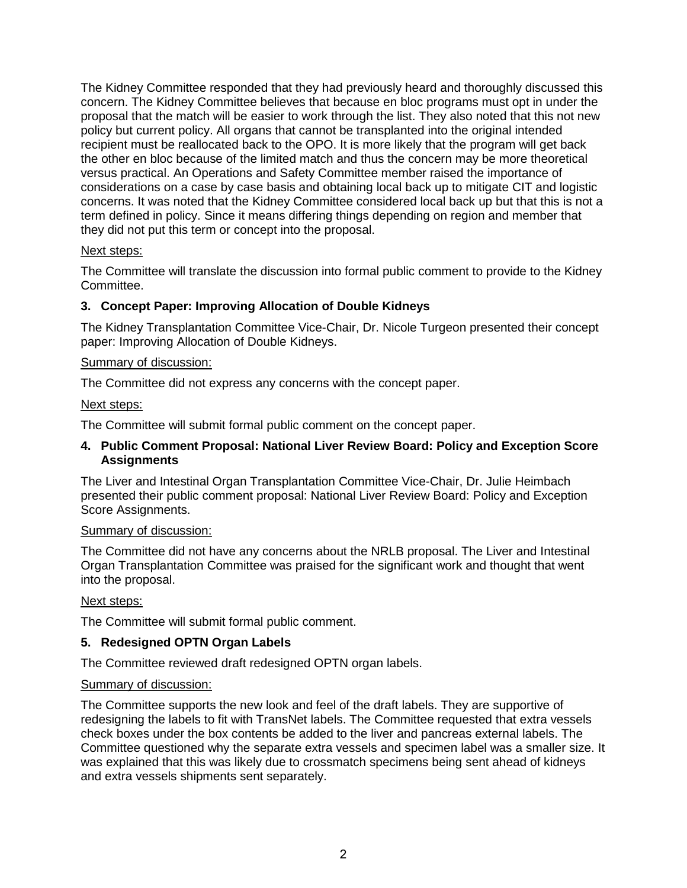The Kidney Committee responded that they had previously heard and thoroughly discussed this concern. The Kidney Committee believes that because en bloc programs must opt in under the proposal that the match will be easier to work through the list. They also noted that this not new policy but current policy. All organs that cannot be transplanted into the original intended recipient must be reallocated back to the OPO. It is more likely that the program will get back the other en bloc because of the limited match and thus the concern may be more theoretical versus practical. An Operations and Safety Committee member raised the importance of considerations on a case by case basis and obtaining local back up to mitigate CIT and logistic concerns. It was noted that the Kidney Committee considered local back up but that this is not a term defined in policy. Since it means differing things depending on region and member that they did not put this term or concept into the proposal.

#### Next steps:

The Committee will translate the discussion into formal public comment to provide to the Kidney Committee.

# **3. Concept Paper: Improving Allocation of Double Kidneys**

The Kidney Transplantation Committee Vice-Chair, Dr. Nicole Turgeon presented their concept paper: Improving Allocation of Double Kidneys.

### Summary of discussion:

The Committee did not express any concerns with the concept paper.

#### Next steps:

The Committee will submit formal public comment on the concept paper.

#### **4. Public Comment Proposal: National Liver Review Board: Policy and Exception Score Assignments**

The Liver and Intestinal Organ Transplantation Committee Vice-Chair, Dr. Julie Heimbach presented their public comment proposal: National Liver Review Board: Policy and Exception Score Assignments.

#### Summary of discussion:

The Committee did not have any concerns about the NRLB proposal. The Liver and Intestinal Organ Transplantation Committee was praised for the significant work and thought that went into the proposal.

#### Next steps:

The Committee will submit formal public comment.

### **5. Redesigned OPTN Organ Labels**

The Committee reviewed draft redesigned OPTN organ labels.

#### Summary of discussion:

The Committee supports the new look and feel of the draft labels. They are supportive of redesigning the labels to fit with TransNet labels. The Committee requested that extra vessels check boxes under the box contents be added to the liver and pancreas external labels. The Committee questioned why the separate extra vessels and specimen label was a smaller size. It was explained that this was likely due to crossmatch specimens being sent ahead of kidneys and extra vessels shipments sent separately.